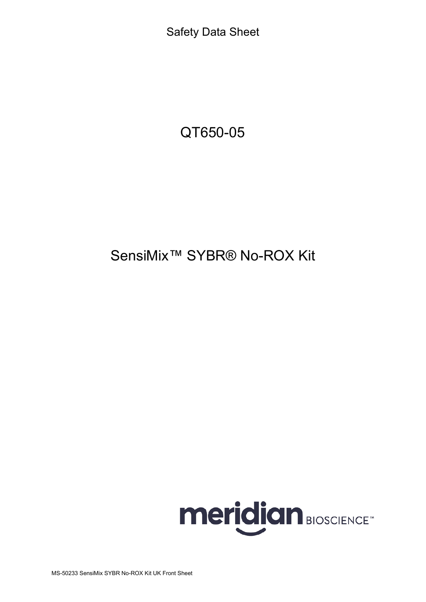Safety Data Sheet

QT650-05

# SensiMix™ SYBR® No-ROX Kit

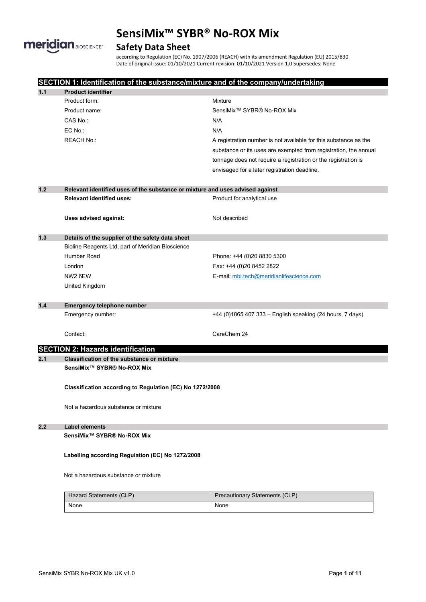

# **Safety Data Sheet**

according to Regulation (EC) No. 1907/2006 (REACH) with its amendment Regulation (EU) 2015/830 Date of original issue: 01/10/2021 Current revision: 01/10/2021 Version 1.0 Supersedes: None

|       | SECTION 1: Identification of the substance/mixture and of the company/undertaking |                                                                  |  |
|-------|-----------------------------------------------------------------------------------|------------------------------------------------------------------|--|
| 1.1   | <b>Product identifier</b>                                                         |                                                                  |  |
|       | Product form:                                                                     | <b>Mixture</b>                                                   |  |
|       | Product name:                                                                     | SensiMix <sup>™</sup> SYBR® No-ROX Mix                           |  |
|       | CAS No.:                                                                          | N/A                                                              |  |
|       | EC No.:                                                                           | N/A                                                              |  |
|       | <b>REACH No.:</b>                                                                 | A registration number is not available for this substance as the |  |
|       |                                                                                   | substance or its uses are exempted from registration, the annual |  |
|       |                                                                                   | tonnage does not require a registration or the registration is   |  |
|       |                                                                                   | envisaged for a later registration deadline.                     |  |
|       |                                                                                   |                                                                  |  |
| 1.2   | Relevant identified uses of the substance or mixture and uses advised against     |                                                                  |  |
|       | <b>Relevant identified uses:</b>                                                  | Product for analytical use                                       |  |
|       |                                                                                   |                                                                  |  |
|       | Uses advised against:                                                             | Not described                                                    |  |
|       |                                                                                   |                                                                  |  |
| 1.3   | Details of the supplier of the safety data sheet                                  |                                                                  |  |
|       | Bioline Reagents Ltd, part of Meridian Bioscience                                 |                                                                  |  |
|       | Humber Road                                                                       | Phone: +44 (0)20 8830 5300                                       |  |
|       | London                                                                            | Fax: +44 (0)20 8452 2822                                         |  |
|       | NW <sub>2</sub> 6EW                                                               | E-mail: mbi.tech@meridianlifescience.com                         |  |
|       | United Kingdom                                                                    |                                                                  |  |
|       |                                                                                   |                                                                  |  |
| $1.4$ | Emergency telephone number                                                        |                                                                  |  |
|       | Emergency number:                                                                 | +44 (0)1865 407 333 - English speaking (24 hours, 7 days)        |  |
|       |                                                                                   |                                                                  |  |
|       | Contact:                                                                          | CareChem 24                                                      |  |
|       | <b>SECTION 2: Hazards identification</b>                                          |                                                                  |  |
| 2.1   | Classification of the substance or mixture                                        |                                                                  |  |
|       | SensiMix <sup>™</sup> SYBR® No-ROX Mix                                            |                                                                  |  |
|       |                                                                                   |                                                                  |  |
|       | Classification according to Regulation (EC) No 1272/2008                          |                                                                  |  |
|       |                                                                                   |                                                                  |  |
|       | Not a hazardous substance or mixture                                              |                                                                  |  |
|       |                                                                                   |                                                                  |  |
| 2.2   | <b>Label elements</b>                                                             |                                                                  |  |
|       | SensiMix <sup>™</sup> SYBR® No-ROX Mix                                            |                                                                  |  |
|       |                                                                                   |                                                                  |  |
|       | Labelling according Regulation (EC) No 1272/2008                                  |                                                                  |  |
|       |                                                                                   |                                                                  |  |
|       | Not a hazardous substance or mixture                                              |                                                                  |  |
|       |                                                                                   |                                                                  |  |
|       | <b>Hazard Statements (CLP)</b>                                                    | Precautionary Statements (CLP)                                   |  |
|       | None                                                                              | None                                                             |  |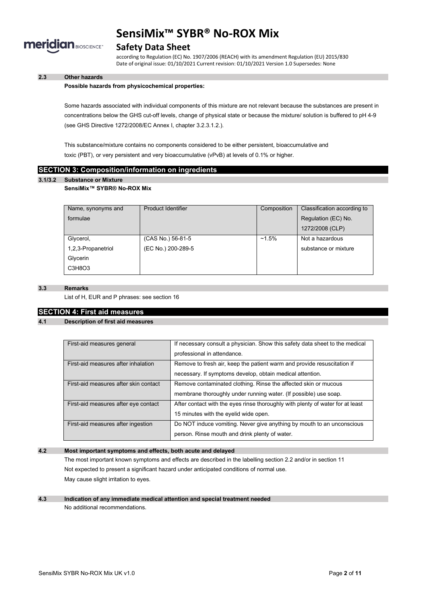

### **Safety Data Sheet**

according to Regulation (EC) No. 1907/2006 (REACH) with its amendment Regulation (EU) 2015/830 Date of original issue: 01/10/2021 Current revision: 01/10/2021 Version 1.0 Supersedes: None

### **2.3 Other hazards**

#### **Possible hazards from physicochemical properties:**

Some hazards associated with individual components of this mixture are not relevant because the substances are present in concentrations below the GHS cut-off levels, change of physical state or because the mixture/ solution is buffered to pH 4-9 (see GHS Directive 1272/2008/EC Annex I, chapter 3.2.3.1.2.).

This substance/mixture contains no components considered to be either persistent, bioaccumulative and toxic (PBT), or very persistent and very bioaccumulative (vPvB) at levels of 0.1% or higher.

### **SECTION 3: Composition/information on ingredients**

#### **3.1/3.2 Substance or Mixture**

### **SensiMix™ SYBR® No-ROX Mix**

| Name, synonyms and | Product Identifier | Composition | Classification according to |
|--------------------|--------------------|-------------|-----------------------------|
| formulae           |                    |             | Regulation (EC) No.         |
|                    |                    |             | 1272/2008 (CLP)             |
| Glycerol,          | (CAS No.) 56-81-5  | $~1.5\%$    | Not a hazardous             |
| 1,2,3-Propanetriol | (EC No.) 200-289-5 |             | substance or mixture        |
| Glycerin           |                    |             |                             |
| C3H8O3             |                    |             |                             |

### **3.3 Remarks**

List of H, EUR and P phrases: see section 16

### **SECTION 4: First aid measures**

### **4.1 Description of first aid measures**

| First-aid measures general            | If necessary consult a physician. Show this safety data sheet to the medical   |  |
|---------------------------------------|--------------------------------------------------------------------------------|--|
|                                       | professional in attendance.                                                    |  |
| First-aid measures after inhalation   | Remove to fresh air, keep the patient warm and provide resuscitation if        |  |
|                                       | necessary. If symptoms develop, obtain medical attention.                      |  |
| First-aid measures after skin contact | Remove contaminated clothing. Rinse the affected skin or mucous                |  |
|                                       | membrane thoroughly under running water. (If possible) use soap.               |  |
| First-aid measures after eye contact  | After contact with the eyes rinse thoroughly with plenty of water for at least |  |
|                                       | 15 minutes with the eyelid wide open.                                          |  |
| First-aid measures after ingestion    | Do NOT induce vomiting. Never give anything by mouth to an unconscious         |  |
|                                       | person. Rinse mouth and drink plenty of water.                                 |  |

### **4.2 Most important symptoms and effects, both acute and delayed**

The most important known symptoms and effects are described in the labelling section 2.2 and/or in section 11 Not expected to present a significant hazard under anticipated conditions of normal use. May cause slight irritation to eyes.

### **4.3 Indication of any immediate medical attention and special treatment needed** No additional recommendations.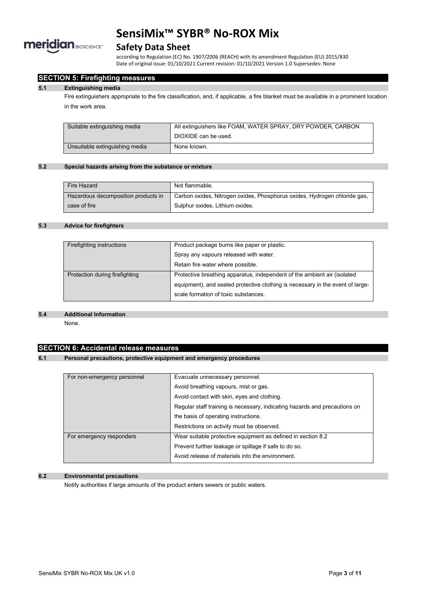

### **Safety Data Sheet**

according to Regulation (EC) No. 1907/2006 (REACH) with its amendment Regulation (EU) 2015/830 Date of original issue: 01/10/2021 Current revision: 01/10/2021 Version 1.0 Supersedes: None

### **SECTION 5: Firefighting measures**

#### **5.1 Extinguishing media**

Fire extinguishers appropriate to the fire classification, and, if applicable, a fire blanket must be available in a prominent location in the work area.

| Suitable extinguishing media   | All extinguishers like FOAM, WATER SPRAY, DRY POWDER, CARBON |
|--------------------------------|--------------------------------------------------------------|
|                                | DIOXIDE can be used.                                         |
| Unsuitable extinguishing media | None known.                                                  |

### **5.2 Special hazards arising from the substance or mixture**

| Fire Hazard                         | Not flammable.                                                            |
|-------------------------------------|---------------------------------------------------------------------------|
| Hazardous decomposition products in | Carbon oxides, Nitrogen oxides, Phosphorus oxides, Hydrogen chloride gas, |
| case of fire                        | Sulphur oxides. Lithium oxides.                                           |

### **5.3 Advice for firefighters**

| Product package burns like paper or plastic.                                   |
|--------------------------------------------------------------------------------|
| Spray any vapours released with water.                                         |
| Retain fire water where possible.                                              |
| Protective breathing apparatus, independent of the ambient air (isolated       |
| equipment), and sealed protective clothing is necessary in the event of large- |
| scale formation of toxic substances.                                           |
|                                                                                |

#### **5.4 Additional Information**

None.

### **SECTION 6: Accidental release measures**

### **6.1 Personal precautions, protective equipment and emergency procedures**

| For non-emergency personnel | Evacuate unnecessary personnel.                                            |  |
|-----------------------------|----------------------------------------------------------------------------|--|
|                             | Avoid breathing vapours, mist or gas.                                      |  |
|                             | Avoid contact with skin, eyes and clothing.                                |  |
|                             | Regular staff training is necessary, indicating hazards and precautions on |  |
|                             | the basis of operating instructions.                                       |  |
|                             | Restrictions on activity must be observed.                                 |  |
| For emergency responders    | Wear suitable protective equipment as defined in section 8.2               |  |
|                             | Prevent further leakage or spillage if safe to do so.                      |  |
|                             | Avoid release of materials into the environment.                           |  |

### **6.2 Environmental precautions**

Notify authorities if large amounts of the product enters sewers or public waters.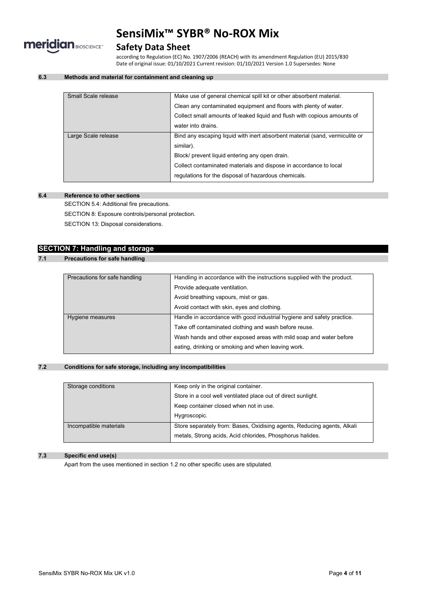

# **Safety Data Sheet**

according to Regulation (EC) No. 1907/2006 (REACH) with its amendment Regulation (EU) 2015/830 Date of original issue: 01/10/2021 Current revision: 01/10/2021 Version 1.0 Supersedes: None

### **6.3 Methods and material for containment and cleaning up**

| Small Scale release | Make use of general chemical spill kit or other absorbent material.          |
|---------------------|------------------------------------------------------------------------------|
|                     | Clean any contaminated equipment and floors with plenty of water.            |
|                     | Collect small amounts of leaked liquid and flush with copious amounts of     |
|                     | water into drains.                                                           |
| Large Scale release | Bind any escaping liquid with inert absorbent material (sand, vermiculite or |
|                     | similar).                                                                    |
|                     | Block/ prevent liquid entering any open drain.                               |
|                     | Collect contaminated materials and dispose in accordance to local            |
|                     | regulations for the disposal of hazardous chemicals.                         |
|                     |                                                                              |

### **6.4 Reference to other sections**

SECTION 5.4: Additional fire precautions.

SECTION 8: Exposure controls/personal protection.

SECTION 13: Disposal considerations.

# **SECTION 7: Handling and storage**

### **7.1 Precautions for safe handling**

| Precautions for safe handling | Handling in accordance with the instructions supplied with the product. |
|-------------------------------|-------------------------------------------------------------------------|
|                               | Provide adequate ventilation.                                           |
|                               | Avoid breathing vapours, mist or gas.                                   |
|                               | Avoid contact with skin, eyes and clothing.                             |
| Hygiene measures              | Handle in accordance with good industrial hygiene and safety practice.  |
|                               | Take off contaminated clothing and wash before reuse.                   |
|                               | Wash hands and other exposed areas with mild soap and water before      |
|                               | eating, drinking or smoking and when leaving work.                      |

### **7.2 Conditions for safe storage, including any incompatibilities**

| Storage conditions     | Keep only in the original container.                                    |
|------------------------|-------------------------------------------------------------------------|
|                        | Store in a cool well ventilated place out of direct sunlight.           |
|                        | Keep container closed when not in use.                                  |
|                        | Hygroscopic.                                                            |
| Incompatible materials | Store separately from: Bases, Oxidising agents, Reducing agents, Alkali |
|                        | metals, Strong acids, Acid chlorides, Phosphorus halides.               |

#### **7.3 Specific end use(s)**

Apart from the uses mentioned in section 1.2 no other specific uses are stipulated.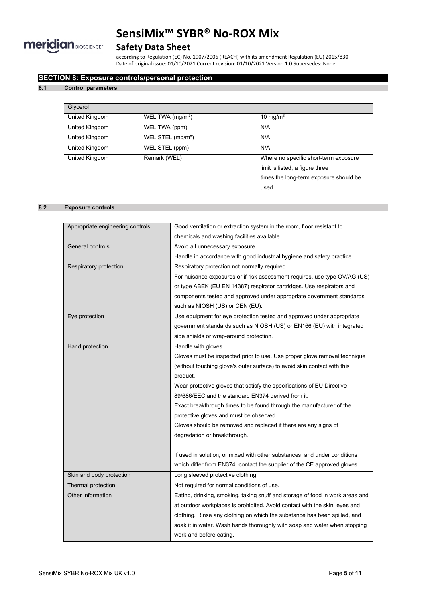

# **Safety Data Sheet**

according to Regulation (EC) No. 1907/2006 (REACH) with its amendment Regulation (EU) 2015/830 Date of original issue: 01/10/2021 Current revision: 01/10/2021 Version 1.0 Supersedes: None

### **SECTION 8: Exposure controls/personal protection**

### **8.1 Control parameters**

| Glycerol       |                               |                                                                          |
|----------------|-------------------------------|--------------------------------------------------------------------------|
| United Kingdom | WEL TWA (mg/m <sup>3</sup> )  | 10 mg/m $3$                                                              |
| United Kingdom | WEL TWA (ppm)                 | N/A                                                                      |
| United Kingdom | WEL STEL (mg/m <sup>3</sup> ) | N/A                                                                      |
| United Kingdom | WEL STEL (ppm)                | N/A                                                                      |
| United Kingdom | Remark (WEL)                  | Where no specific short-term exposure<br>limit is listed, a figure three |
|                |                               | times the long-term exposure should be                                   |
|                |                               | used.                                                                    |

### **8.2 Exposure controls**

| Appropriate engineering controls: | Good ventilation or extraction system in the room, floor resistant to         |  |
|-----------------------------------|-------------------------------------------------------------------------------|--|
|                                   | chemicals and washing facilities available.                                   |  |
| General controls                  | Avoid all unnecessary exposure.                                               |  |
|                                   | Handle in accordance with good industrial hygiene and safety practice.        |  |
| Respiratory protection            | Respiratory protection not normally required.                                 |  |
|                                   | For nuisance exposures or if risk assessment requires, use type OV/AG (US)    |  |
|                                   | or type ABEK (EU EN 14387) respirator cartridges. Use respirators and         |  |
|                                   | components tested and approved under appropriate government standards         |  |
|                                   | such as NIOSH (US) or CEN (EU).                                               |  |
| Eye protection                    | Use equipment for eye protection tested and approved under appropriate        |  |
|                                   | government standards such as NIOSH (US) or EN166 (EU) with integrated         |  |
|                                   | side shields or wrap-around protection.                                       |  |
| Hand protection                   | Handle with gloves.                                                           |  |
|                                   | Gloves must be inspected prior to use. Use proper glove removal technique     |  |
|                                   | (without touching glove's outer surface) to avoid skin contact with this      |  |
|                                   | product.                                                                      |  |
|                                   | Wear protective gloves that satisfy the specifications of EU Directive        |  |
|                                   | 89/686/EEC and the standard EN374 derived from it.                            |  |
|                                   | Exact breakthrough times to be found through the manufacturer of the          |  |
|                                   | protective gloves and must be observed.                                       |  |
|                                   | Gloves should be removed and replaced if there are any signs of               |  |
|                                   | degradation or breakthrough.                                                  |  |
|                                   |                                                                               |  |
|                                   | If used in solution, or mixed with other substances, and under conditions     |  |
|                                   | which differ from EN374, contact the supplier of the CE approved gloves.      |  |
| Skin and body protection          | Long sleeved protective clothing.                                             |  |
| Thermal protection                | Not required for normal conditions of use.                                    |  |
| Other information                 | Eating, drinking, smoking, taking snuff and storage of food in work areas and |  |
|                                   | at outdoor workplaces is prohibited. Avoid contact with the skin, eyes and    |  |
|                                   | clothing. Rinse any clothing on which the substance has been spilled, and     |  |
|                                   | soak it in water. Wash hands thoroughly with soap and water when stopping     |  |
|                                   | work and before eating.                                                       |  |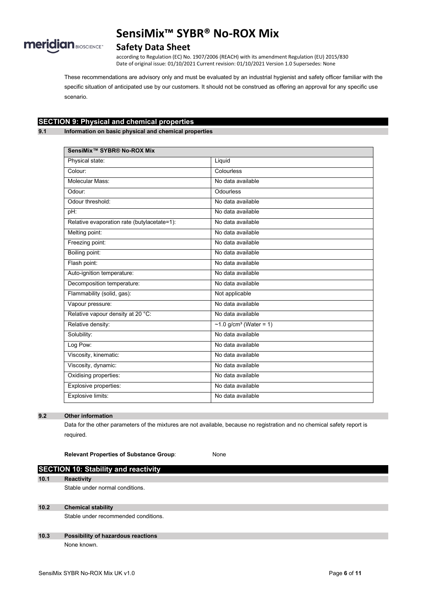

### **Safety Data Sheet**

according to Regulation (EC) No. 1907/2006 (REACH) with its amendment Regulation (EU) 2015/830 Date of original issue: 01/10/2021 Current revision: 01/10/2021 Version 1.0 Supersedes: None

These recommendations are advisory only and must be evaluated by an industrial hygienist and safety officer familiar with the specific situation of anticipated use by our customers. It should not be construed as offering an approval for any specific use scenario.

# **SECTION 9: Physical and chemical properties**

**9.1 Information on basic physical and chemical properties**

| SensiMix <sup>™</sup> SYBR® No-ROX Mix      |                           |
|---------------------------------------------|---------------------------|
| Physical state:                             | Liquid                    |
| Colour:                                     | Colourless                |
| Molecular Mass:                             | No data available         |
| Odour:                                      | Odourless                 |
| Odour threshold:                            | No data available         |
| pH:                                         | No data available         |
| Relative evaporation rate (butylacetate=1): | No data available         |
| Melting point:                              | No data available         |
| Freezing point:                             | No data available         |
| Boiling point:                              | No data available         |
| Flash point:                                | No data available         |
| Auto-ignition temperature:                  | No data available         |
| Decomposition temperature:                  | No data available         |
| Flammability (solid, gas):                  | Not applicable            |
| Vapour pressure:                            | No data available         |
| Relative vapour density at 20 °C:           | No data available         |
| Relative density:                           | ~1.0 $g/cm^3$ (Water = 1) |
| Solubility:                                 | No data available         |
| Log Pow:                                    | No data available         |
| Viscosity, kinematic:                       | No data available         |
| Viscosity, dynamic:                         | No data available         |
| Oxidising properties:                       | No data available         |
| Explosive properties:                       | No data available         |
| Explosive limits:                           | No data available         |

### **9.2 Other information**

Data for the other parameters of the mixtures are not available, because no registration and no chemical safety report is required.

**Relevant Properties of Substance Group**: None

# **SECTION 10: Stability and reactivity 10.1 Reactivity** Stable under normal conditions.

**10.2 Chemical stability**

Stable under recommended conditions.

### **10.3 Possibility of hazardous reactions** None known.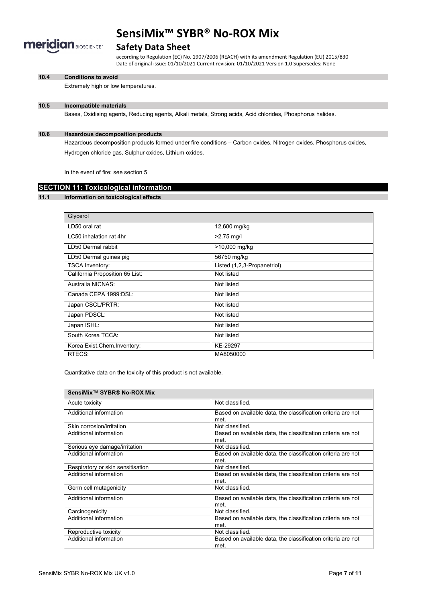

### **Safety Data Sheet**

according to Regulation (EC) No. 1907/2006 (REACH) with its amendment Regulation (EU) 2015/830 Date of original issue: 01/10/2021 Current revision: 01/10/2021 Version 1.0 Supersedes: None

#### **10.4 Conditions to avoid**

Extremely high or low temperatures.

### **10.5 Incompatible materials**

Bases, Oxidising agents, Reducing agents, Alkali metals, Strong acids, Acid chlorides, Phosphorus halides.

#### **10.6 Hazardous decomposition products**

Hazardous decomposition products formed under fire conditions – Carbon oxides, Nitrogen oxides, Phosphorus oxides, Hydrogen chloride gas, Sulphur oxides, Lithium oxides.

In the event of fire: see section 5

# **SECTION 11: Toxicological information**

#### **11.1 Information on toxicological effects**

| Glycerol                        |                             |
|---------------------------------|-----------------------------|
| LD50 oral rat                   | 12,600 mg/kg                |
| LC50 inhalation rat 4hr         | $>2.75$ mg/l                |
| LD50 Dermal rabbit              | >10,000 mg/kg               |
| LD50 Dermal guinea pig          | 56750 mg/kg                 |
| <b>TSCA Inventory:</b>          | Listed (1,2,3-Propanetriol) |
| California Proposition 65 List: | Not listed                  |
| Australia NICNAS:               | Not listed                  |
| Canada CEPA 1999 DSL:           | Not listed                  |
| Japan CSCL/PRTR:                | Not listed                  |
| Japan PDSCL:                    | Not listed                  |
| Japan ISHL:                     | Not listed                  |
| South Korea TCCA:               | Not listed                  |
| Korea Exist Chem Inventory:     | KE-29297                    |
| RTECS:                          | MA8050000                   |

Quantitative data on the toxicity of this product is not available.

| SensiMix™ SYBR® No-ROX Mix        |                                                              |
|-----------------------------------|--------------------------------------------------------------|
| Acute toxicity                    | Not classified                                               |
| Additional information            | Based on available data, the classification criteria are not |
|                                   | met.                                                         |
| Skin corrosion/irritation         | Not classified.                                              |
| Additional information            | Based on available data, the classification criteria are not |
|                                   | met.                                                         |
| Serious eye damage/irritation     | Not classified.                                              |
| Additional information            | Based on available data, the classification criteria are not |
|                                   | met.                                                         |
| Respiratory or skin sensitisation | Not classified                                               |
| Additional information            | Based on available data, the classification criteria are not |
|                                   | met                                                          |
| Germ cell mutagenicity            | Not classified                                               |
| Additional information            | Based on available data, the classification criteria are not |
|                                   | met.                                                         |
| Carcinogenicity                   | Not classified.                                              |
| Additional information            | Based on available data, the classification criteria are not |
|                                   | met.                                                         |
| Reproductive toxicity             | Not classified.                                              |
| Additional information            | Based on available data, the classification criteria are not |
|                                   | met.                                                         |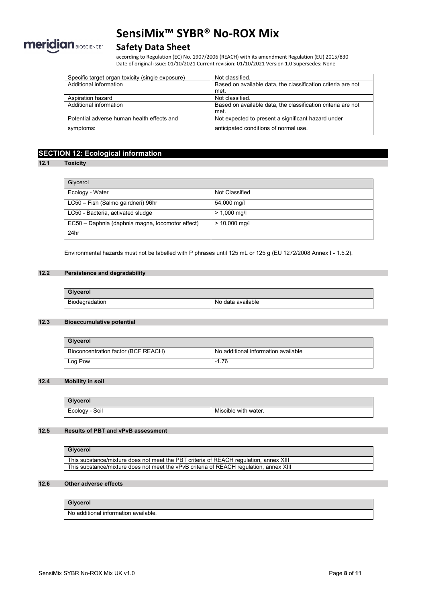

# **Safety Data Sheet**

according to Regulation (EC) No. 1907/2006 (REACH) with its amendment Regulation (EU) 2015/830 Date of original issue: 01/10/2021 Current revision: 01/10/2021 Version 1.0 Supersedes: None

| Specific target organ toxicity (single exposure) | Not classified.                                              |
|--------------------------------------------------|--------------------------------------------------------------|
| Additional information                           | Based on available data, the classification criteria are not |
|                                                  | met.                                                         |
| Aspiration hazard                                | Not classified.                                              |
| Additional information                           | Based on available data, the classification criteria are not |
|                                                  | met.                                                         |
| Potential adverse human health effects and       | Not expected to present a significant hazard under           |
| symptoms:                                        | anticipated conditions of normal use.                        |

# **SECTION 12: Ecological information**

### **12.1 Toxicity**

| Glycerol                                         |                        |
|--------------------------------------------------|------------------------|
| Ecology - Water                                  | Not Classified         |
| LC50 - Fish (Salmo gairdneri) 96hr               | 54,000 mg/l            |
| LC50 - Bacteria, activated sludge                | $> 1,000 \text{ mq/l}$ |
| EC50 - Daphnia (daphnia magna, locomotor effect) | $> 10,000$ mg/l        |
| 24hr                                             |                        |

Environmental hazards must not be labelled with P phrases until 125 mL or 125 g (EU 1272/2008 Annex I - 1.5.2).

### **12.2 Persistence and degradability**

| Glycerol       |                   |
|----------------|-------------------|
| Biodegradation | No data available |

### **12.3 Bioaccumulative potential**

| Glycerol                            |                                     |
|-------------------------------------|-------------------------------------|
| Bioconcentration factor (BCF REACH) | No additional information available |
| Log Pow                             | $-1.76$                             |

### **12.4 Mobility in soil**

| Glycerol       |                      |
|----------------|----------------------|
| Ecology - Soil | Miscible with water. |

### **12.5 Results of PBT and vPvB assessment**

| Glycerol                                                                               |
|----------------------------------------------------------------------------------------|
| This substance/mixture does not meet the PBT criteria of REACH regulation, annex XIII  |
| This substance/mixture does not meet the vPvB criteria of REACH regulation, annex XIII |

#### **12.6 Other adverse effects**

### **Glycerol**

No additional information available.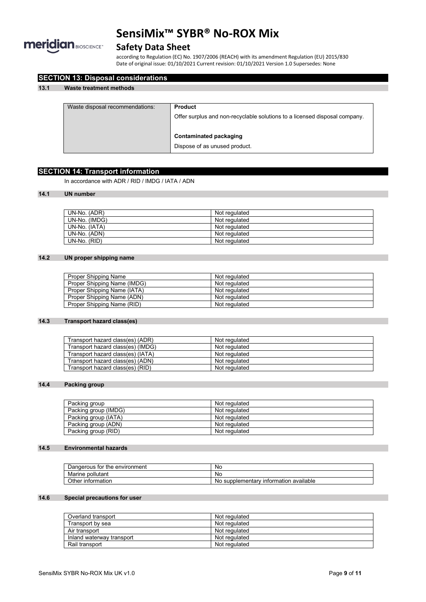

# **Safety Data Sheet**

according to Regulation (EC) No. 1907/2006 (REACH) with its amendment Regulation (EU) 2015/830 Date of original issue: 01/10/2021 Current revision: 01/10/2021 Version 1.0 Supersedes: None

| Waste disposal recommendations: | <b>Product</b>                                                             |
|---------------------------------|----------------------------------------------------------------------------|
|                                 | Offer surplus and non-recyclable solutions to a licensed disposal company. |
|                                 | Contaminated packaging                                                     |
|                                 | Dispose of as unused product.                                              |

# **SECTION 14: Transport information**

**SECTION 13: Disposal considerations**

In accordance with ADR / RID / IMDG / IATA / ADN

### **14.1 UN number**

| UN-No. (ADR)  | Not regulated |
|---------------|---------------|
| UN-No. (IMDG) | Not regulated |
| UN-No. (IATA) | Not regulated |
| UN-No. (ADN)  | Not regulated |
| UN-No. (RID)  | Not regulated |

### **14.2 UN proper shipping name**

| Proper Shipping Name        | Not regulated |
|-----------------------------|---------------|
| Proper Shipping Name (IMDG) | Not regulated |
| Proper Shipping Name (IATA) | Not regulated |
| Proper Shipping Name (ADN)  | Not regulated |
| Proper Shipping Name (RID)  | Not regulated |

### **14.3 Transport hazard class(es)**

| Transport hazard class(es) (ADR)  | Not regulated |
|-----------------------------------|---------------|
| Transport hazard class(es) (IMDG) | Not regulated |
| Transport hazard class(es) (IATA) | Not regulated |
| Transport hazard class(es) (ADN)  | Not regulated |
| Transport hazard class(es) (RID)  | Not regulated |

### **14.4 Packing group**

| Packing group        | Not regulated |
|----------------------|---------------|
| Packing group (IMDG) | Not regulated |
| Packing group (IATA) | Not regulated |
| Packing group (ADN)  | Not regulated |
| Packing group (RID)  | Not regulated |

### **14.5 Environmental hazards**

| Dangerous for the environment | No                                                |
|-------------------------------|---------------------------------------------------|
| pollutant<br>Marine           | No                                                |
| Other information             | ≀ information available<br>supplementarv (<br>No. |

### **14.6 Special precautions for user**

| Overland transport        | Not regulated |
|---------------------------|---------------|
| Transport by sea          | Not regulated |
| Air transport             | Not regulated |
| Inland waterway transport | Not regulated |
| Rail transport            | Not regulated |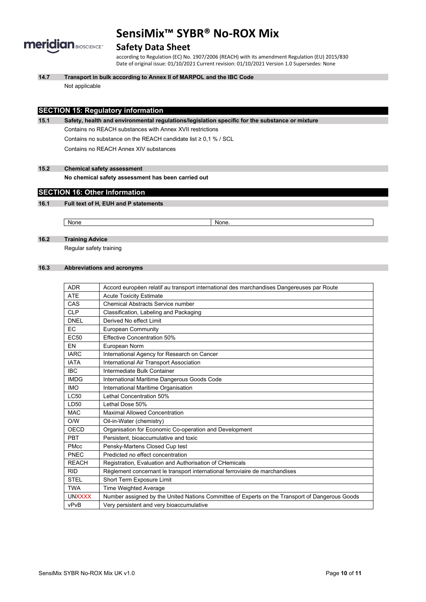

### **Safety Data Sheet**

according to Regulation (EC) No. 1907/2006 (REACH) with its amendment Regulation (EU) 2015/830 Date of original issue: 01/10/2021 Current revision: 01/10/2021 Version 1.0 Supersedes: None

**14.7 Transport in bulk according to Annex II of MARPOL and the IBC Code**

Not applicable

### **SECTION 15: Regulatory information**

**15.1 Safety, health and environmental regulations/legislation specific for the substance or mixture** Contains no REACH substances with Annex XVII restrictions Contains no substance on the REACH candidate list ≥ 0,1 % / SCL Contains no REACH Annex XIV substances

**15.2 Chemical safety assessment**

**No chemical safety assessment has been carried out**

### **SECTION 16: Other Information**

### **16.1 Full text of H, EUH and P statements**

None None.

**16.2 Training Advice**

Regular safety training

### **16.3 Abbreviations and acronyms**

| <b>ADR</b>       | Accord européen relatif au transport international des marchandises Dangereuses par Route      |
|------------------|------------------------------------------------------------------------------------------------|
| <b>ATE</b>       | <b>Acute Toxicity Estimate</b>                                                                 |
| CAS              | <b>Chemical Abstracts Service number</b>                                                       |
| <b>CLP</b>       | Classification, Labeling and Packaging                                                         |
| <b>DNEL</b>      | Derived No effect Limit                                                                        |
| EC.              | <b>European Community</b>                                                                      |
| EC <sub>50</sub> | Effective Concentration 50%                                                                    |
| EN               | European Norm                                                                                  |
| <b>IARC</b>      | International Agency for Research on Cancer                                                    |
| <b>IATA</b>      | International Air Transport Association                                                        |
| <b>IBC</b>       | Intermediate Bulk Container                                                                    |
| <b>IMDG</b>      | International Maritime Dangerous Goods Code                                                    |
| <b>IMO</b>       | International Maritime Organisation                                                            |
| <b>LC50</b>      | Lethal Concentration 50%                                                                       |
| LD50             | Lethal Dose 50%                                                                                |
| <b>MAC</b>       | <b>Maximal Allowed Concentration</b>                                                           |
| O/W              | Oil-in-Water (chemistry)                                                                       |
| OECD             | Organisation for Economic Co-operation and Development                                         |
| PBT              | Persistent, bioaccumulative and toxic                                                          |
| <b>PMcc</b>      | Pensky-Martens Closed Cup test                                                                 |
| PNEC             | Predicted no effect concentration                                                              |
| <b>REACH</b>     | Registration, Evaluation and Authorisation of CHemicals                                        |
| <b>RID</b>       | Règlement concernant le transport international ferroviaire de marchandises                    |
| <b>STEL</b>      | Short Term Exposure Limit                                                                      |
| <b>TWA</b>       | Time Weighted Average                                                                          |
| <b>UNXXXX</b>    | Number assigned by the United Nations Committee of Experts on the Transport of Dangerous Goods |
| vPvB             | Very persistent and very bioaccumulative                                                       |